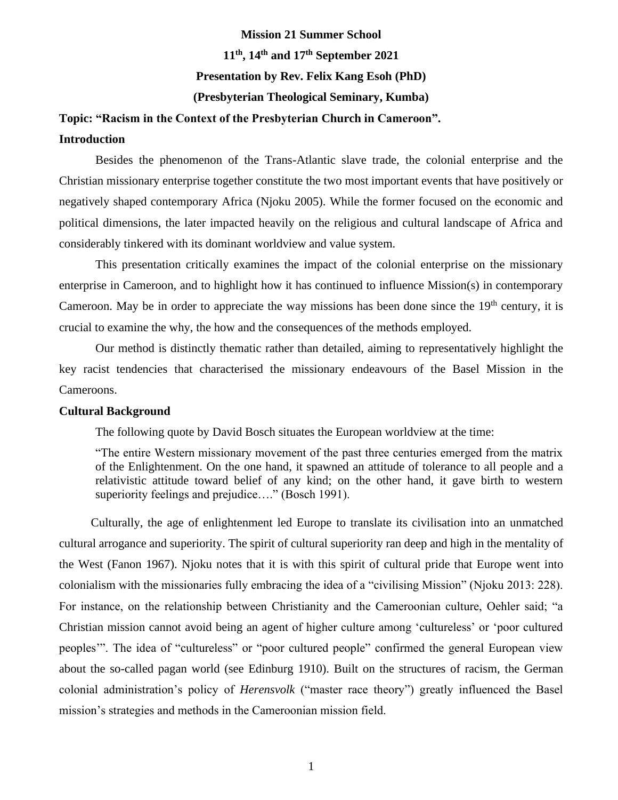# **Mission 21 Summer School 11th, 14th and 17th September 2021 Presentation by Rev. Felix Kang Esoh (PhD) (Presbyterian Theological Seminary, Kumba)**

# **Topic: "Racism in the Context of the Presbyterian Church in Cameroon".**

### **Introduction**

Besides the phenomenon of the Trans-Atlantic slave trade, the colonial enterprise and the Christian missionary enterprise together constitute the two most important events that have positively or negatively shaped contemporary Africa (Njoku 2005). While the former focused on the economic and political dimensions, the later impacted heavily on the religious and cultural landscape of Africa and considerably tinkered with its dominant worldview and value system.

This presentation critically examines the impact of the colonial enterprise on the missionary enterprise in Cameroon, and to highlight how it has continued to influence Mission(s) in contemporary Cameroon. May be in order to appreciate the way missions has been done since the  $19<sup>th</sup>$  century, it is crucial to examine the why, the how and the consequences of the methods employed.

Our method is distinctly thematic rather than detailed, aiming to representatively highlight the key racist tendencies that characterised the missionary endeavours of the Basel Mission in the Cameroons.

### **Cultural Background**

The following quote by David Bosch situates the European worldview at the time:

"The entire Western missionary movement of the past three centuries emerged from the matrix of the Enlightenment. On the one hand, it spawned an attitude of tolerance to all people and a relativistic attitude toward belief of any kind; on the other hand, it gave birth to western superiority feelings and prejudice...." (Bosch 1991).

Culturally, the age of enlightenment led Europe to translate its civilisation into an unmatched cultural arrogance and superiority. The spirit of cultural superiority ran deep and high in the mentality of the West (Fanon 1967). Njoku notes that it is with this spirit of cultural pride that Europe went into colonialism with the missionaries fully embracing the idea of a "civilising Mission" (Njoku 2013: 228). For instance, on the relationship between Christianity and the Cameroonian culture, Oehler said; "a Christian mission cannot avoid being an agent of higher culture among 'cultureless' or 'poor cultured peoples'". The idea of "cultureless" or "poor cultured people" confirmed the general European view about the so-called pagan world (see Edinburg 1910). Built on the structures of racism, the German colonial administration's policy of *Herensvolk* ("master race theory") greatly influenced the Basel mission's strategies and methods in the Cameroonian mission field.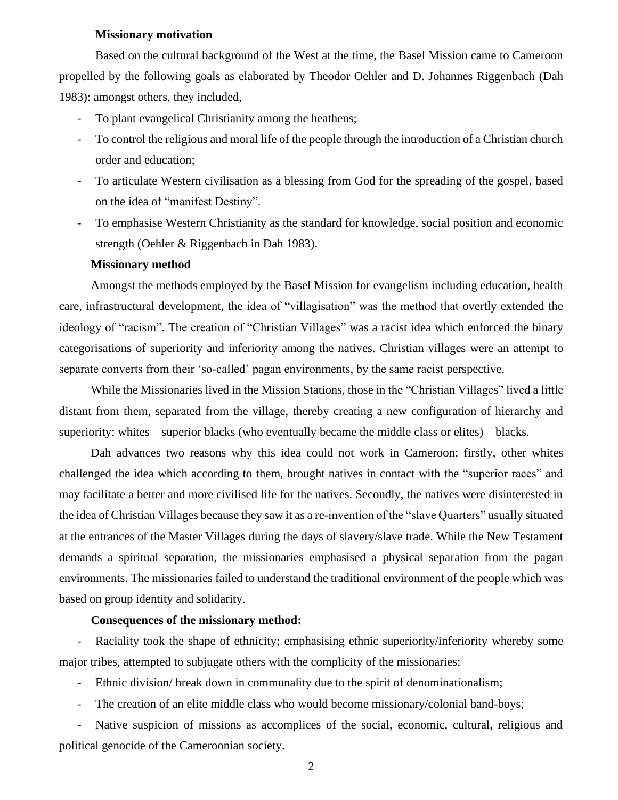### **Missionary motivation**

Based on the cultural background of the West at the time, the Basel Mission came to Cameroon propelled by the following goals as elaborated by Theodor Oehler and D. Johannes Riggenbach (Dah 1983): amongst others, they included,

- To plant evangelical Christianity among the heathens;
- To control the religious and moral life of the people through the introduction of a Christian church order and education;
- To articulate Western civilisation as a blessing from God for the spreading of the gospel, based on the idea of "manifest Destiny".
- To emphasise Western Christianity as the standard for knowledge, social position and economic strength (Oehler & Riggenbach in Dah 1983).

#### **Missionary method**

Amongst the methods employed by the Basel Mission for evangelism including education, health care, infrastructural development, the idea of "villagisation" was the method that overtly extended the ideology of "racism". The creation of "Christian Villages" was a racist idea which enforced the binary categorisations of superiority and inferiority among the natives. Christian villages were an attempt to separate converts from their 'so-called' pagan environments, by the same racist perspective.

While the Missionaries lived in the Mission Stations, those in the "Christian Villages" lived a little distant from them, separated from the village, thereby creating a new configuration of hierarchy and superiority: whites – superior blacks (who eventually became the middle class or elites) – blacks.

Dah advances two reasons why this idea could not work in Cameroon: firstly, other whites challenged the idea which according to them, brought natives in contact with the "superior races" and may facilitate a better and more civilised life for the natives. Secondly, the natives were disinterested in the idea of Christian Villages because they saw it as a re-invention of the "slave Quarters" usually situated at the entrances of the Master Villages during the days of slavery/slave trade. While the New Testament demands a spiritual separation, the missionaries emphasised a physical separation from the pagan environments. The missionaries failed to understand the traditional environment of the people which was based on group identity and solidarity.

#### **Consequences of the missionary method:**

- Raciality took the shape of ethnicity; emphasising ethnic superiority/inferiority whereby some major tribes, attempted to subjugate others with the complicity of the missionaries;

- Ethnic division/ break down in communality due to the spirit of denominationalism;
- The creation of an elite middle class who would become missionary/colonial band-boys;

- Native suspicion of missions as accomplices of the social, economic, cultural, religious and political genocide of the Cameroonian society.

2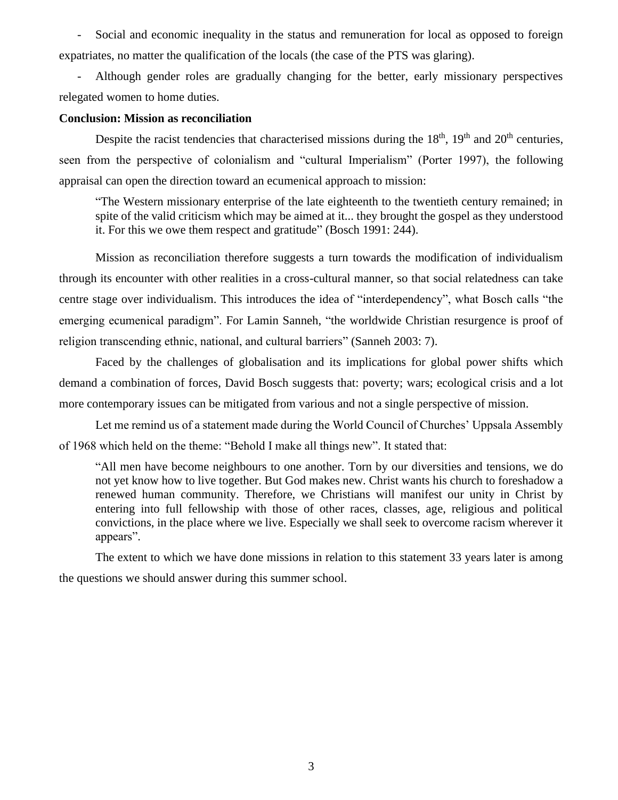- Social and economic inequality in the status and remuneration for local as opposed to foreign expatriates, no matter the qualification of the locals (the case of the PTS was glaring).

- Although gender roles are gradually changing for the better, early missionary perspectives relegated women to home duties.

#### **Conclusion: Mission as reconciliation**

Despite the racist tendencies that characterised missions during the  $18<sup>th</sup>$ ,  $19<sup>th</sup>$  and  $20<sup>th</sup>$  centuries, seen from the perspective of colonialism and "cultural Imperialism" (Porter 1997), the following appraisal can open the direction toward an ecumenical approach to mission:

"The Western missionary enterprise of the late eighteenth to the twentieth century remained; in spite of the valid criticism which may be aimed at it... they brought the gospel as they understood it. For this we owe them respect and gratitude" (Bosch 1991: 244).

Mission as reconciliation therefore suggests a turn towards the modification of individualism through its encounter with other realities in a cross-cultural manner, so that social relatedness can take centre stage over individualism. This introduces the idea of "interdependency", what Bosch calls "the emerging ecumenical paradigm". For Lamin Sanneh, "the worldwide Christian resurgence is proof of religion transcending ethnic, national, and cultural barriers" (Sanneh 2003: 7).

Faced by the challenges of globalisation and its implications for global power shifts which demand a combination of forces, David Bosch suggests that: poverty; wars; ecological crisis and a lot more contemporary issues can be mitigated from various and not a single perspective of mission.

Let me remind us of a statement made during the World Council of Churches' Uppsala Assembly of 1968 which held on the theme: "Behold I make all things new". It stated that:

"All men have become neighbours to one another. Torn by our diversities and tensions, we do not yet know how to live together. But God makes new. Christ wants his church to foreshadow a renewed human community. Therefore, we Christians will manifest our unity in Christ by entering into full fellowship with those of other races, classes, age, religious and political convictions, in the place where we live. Especially we shall seek to overcome racism wherever it appears".

The extent to which we have done missions in relation to this statement 33 years later is among the questions we should answer during this summer school.